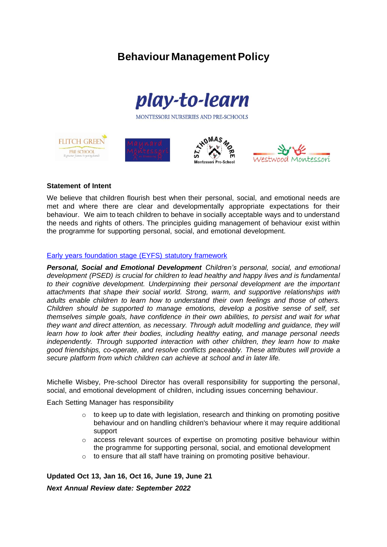# **Behaviour Management Policy**



MONTESSORI NURSERIES AND PRE-SCHOOLS









## **Statement of Intent**

We believe that children flourish best when their personal, social, and emotional needs are met and where there are clear and developmentally appropriate expectations for their behaviour. We aim to teach children to behave in socially acceptable ways and to understand the needs and rights of others. The principles guiding management of behaviour exist within the programme for supporting personal, social, and emotional development.

## [Early years foundation stage \(EYFS\) statutory framework](https://www.gov.uk/government/publications/early-years-foundation-stage-framework--2)

*Personal, Social and Emotional Development Children's personal, social, and emotional development (PSED) is crucial for children to lead healthy and happy lives and is fundamental to their cognitive development. Underpinning their personal development are the important attachments that shape their social world. Strong, warm, and supportive relationships with adults enable children to learn how to understand their own feelings and those of others. Children should be supported to manage emotions, develop a positive sense of self, set themselves simple goals, have confidence in their own abilities, to persist and wait for what they want and direct attention, as necessary. Through adult modelling and guidance, they will learn how to look after their bodies, including healthy eating, and manage personal needs independently. Through supported interaction with other children, they learn how to make good friendships, co-operate, and resolve conflicts peaceably. These attributes will provide a secure platform from which children can achieve at school and in later life.*

Michelle Wisbey, Pre-school Director has overall responsibility for supporting the personal, social, and emotional development of children, including issues concerning behaviour.

Each Setting Manager has responsibility

- $\circ$  to keep up to date with legislation, research and thinking on promoting positive behaviour and on handling children's behaviour where it may require additional support
- $\circ$  access relevant sources of expertise on promoting positive behaviour within the programme for supporting personal, social, and emotional development
- $\circ$  to ensure that all staff have training on promoting positive behaviour.

**Updated Oct 13, Jan 16, Oct 16, June 19, June 21** *Next Annual Review date: September 2022*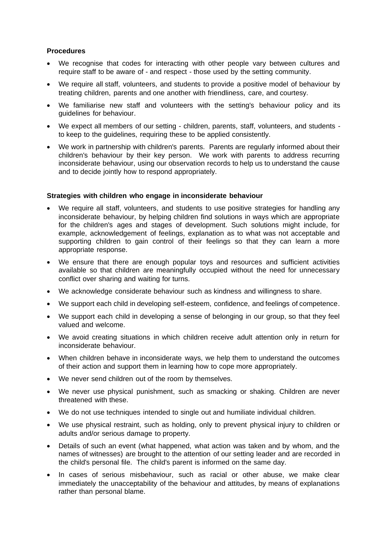## **Procedures**

- We recognise that codes for interacting with other people vary between cultures and require staff to be aware of - and respect - those used by the setting community.
- We require all staff, volunteers, and students to provide a positive model of behaviour by treating children, parents and one another with friendliness, care, and courtesy.
- We familiarise new staff and volunteers with the setting's behaviour policy and its guidelines for behaviour.
- We expect all members of our setting children, parents, staff, volunteers, and students to keep to the guidelines, requiring these to be applied consistently.
- We work in partnership with children's parents. Parents are regularly informed about their children's behaviour by their key person. We work with parents to address recurring inconsiderate behaviour, using our observation records to help us to understand the cause and to decide jointly how to respond appropriately.

## **Strategies with children who engage in inconsiderate behaviour**

- We require all staff, volunteers, and students to use positive strategies for handling any inconsiderate behaviour, by helping children find solutions in ways which are appropriate for the children's ages and stages of development. Such solutions might include, for example, acknowledgement of feelings, explanation as to what was not acceptable and supporting children to gain control of their feelings so that they can learn a more appropriate response.
- We ensure that there are enough popular toys and resources and sufficient activities available so that children are meaningfully occupied without the need for unnecessary conflict over sharing and waiting for turns.
- We acknowledge considerate behaviour such as kindness and willingness to share.
- We support each child in developing self-esteem, confidence, and feelings of competence.
- We support each child in developing a sense of belonging in our group, so that they feel valued and welcome.
- We avoid creating situations in which children receive adult attention only in return for inconsiderate behaviour.
- When children behave in inconsiderate ways, we help them to understand the outcomes of their action and support them in learning how to cope more appropriately.
- We never send children out of the room by themselves.
- We never use physical punishment, such as smacking or shaking. Children are never threatened with these.
- We do not use techniques intended to single out and humiliate individual children.
- We use physical restraint, such as holding, only to prevent physical injury to children or adults and/or serious damage to property.
- Details of such an event (what happened, what action was taken and by whom, and the names of witnesses) are brought to the attention of our setting leader and are recorded in the child's personal file. The child's parent is informed on the same day.
- In cases of serious misbehaviour, such as racial or other abuse, we make clear immediately the unacceptability of the behaviour and attitudes, by means of explanations rather than personal blame.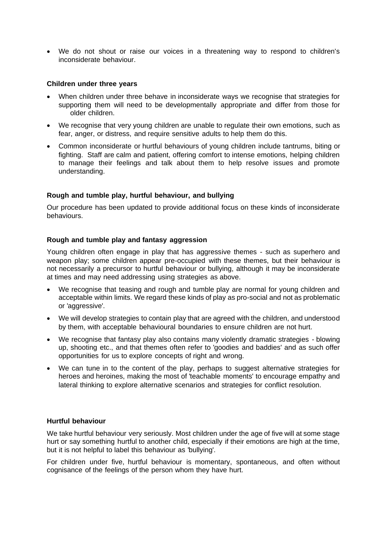• We do not shout or raise our voices in a threatening way to respond to children's inconsiderate behaviour.

### **Children under three years**

- When children under three behave in inconsiderate wavs we recognise that strategies for supporting them will need to be developmentally appropriate and differ from those for older children.
- We recognise that very young children are unable to regulate their own emotions, such as fear, anger, or distress, and require sensitive adults to help them do this.
- Common inconsiderate or hurtful behaviours of young children include tantrums, biting or fighting. Staff are calm and patient, offering comfort to intense emotions, helping children to manage their feelings and talk about them to help resolve issues and promote understanding.

## **Rough and tumble play, hurtful behaviour, and bullying**

Our procedure has been updated to provide additional focus on these kinds of inconsiderate behaviours.

## **Rough and tumble play and fantasy aggression**

Young children often engage in play that has aggressive themes - such as superhero and weapon play; some children appear pre-occupied with these themes, but their behaviour is not necessarily a precursor to hurtful behaviour or bullying, although it may be inconsiderate at times and may need addressing using strategies as above.

- We recognise that teasing and rough and tumble play are normal for young children and acceptable within limits. We regard these kinds of play as pro-social and not as problematic or 'aggressive'.
- We will develop strategies to contain play that are agreed with the children, and understood by them, with acceptable behavioural boundaries to ensure children are not hurt.
- We recognise that fantasy play also contains many violently dramatic strategies blowing up, shooting etc., and that themes often refer to 'goodies and baddies' and as such offer opportunities for us to explore concepts of right and wrong.
- We can tune in to the content of the play, perhaps to suggest alternative strategies for heroes and heroines, making the most of 'teachable moments' to encourage empathy and lateral thinking to explore alternative scenarios and strategies for conflict resolution.

#### **Hurtful behaviour**

We take hurtful behaviour very seriously. Most children under the age of five will at some stage hurt or say something hurtful to another child, especially if their emotions are high at the time, but it is not helpful to label this behaviour as 'bullying'.

For children under five, hurtful behaviour is momentary, spontaneous, and often without cognisance of the feelings of the person whom they have hurt.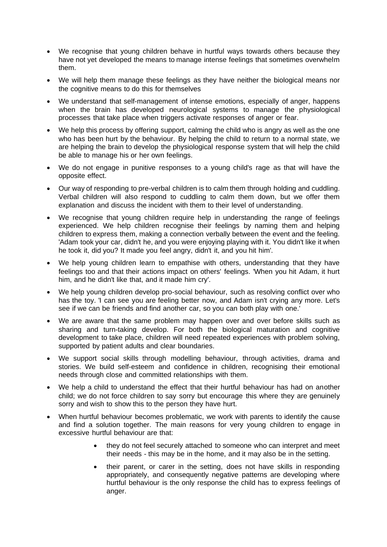- We recognise that young children behave in hurtful ways towards others because they have not yet developed the means to manage intense feelings that sometimes overwhelm them.
- We will help them manage these feelings as they have neither the biological means nor the cognitive means to do this for themselves
- We understand that self-management of intense emotions, especially of anger, happens when the brain has developed neurological systems to manage the physiological processes that take place when triggers activate responses of anger or fear.
- We help this process by offering support, calming the child who is angry as well as the one who has been hurt by the behaviour. By helping the child to return to a normal state, we are helping the brain to develop the physiological response system that will help the child be able to manage his or her own feelings.
- We do not engage in punitive responses to a young child's rage as that will have the opposite effect.
- Our way of responding to pre-verbal children is to calm them through holding and cuddling. Verbal children will also respond to cuddling to calm them down, but we offer them explanation and discuss the incident with them to their level of understanding.
- We recognise that young children require help in understanding the range of feelings experienced. We help children recognise their feelings by naming them and helping children to express them, making a connection verbally between the event and the feeling. 'Adam took your car, didn't he, and you were enjoying playing with it. You didn't like it when he took it, did you? It made you feel angry, didn't it, and you hit him'.
- We help young children learn to empathise with others, understanding that they have feelings too and that their actions impact on others' feelings. 'When you hit Adam, it hurt him, and he didn't like that, and it made him cry'.
- We help young children develop pro-social behaviour, such as resolving conflict over who has the toy. 'I can see you are feeling better now, and Adam isn't crying any more. Let's see if we can be friends and find another car, so you can both play with one.'
- We are aware that the same problem may happen over and over before skills such as sharing and turn-taking develop. For both the biological maturation and cognitive development to take place, children will need repeated experiences with problem solving, supported by patient adults and clear boundaries.
- We support social skills through modelling behaviour, through activities, drama and stories. We build self-esteem and confidence in children, recognising their emotional needs through close and committed relationships with them.
- We help a child to understand the effect that their hurtful behaviour has had on another child; we do not force children to say sorry but encourage this where they are genuinely sorry and wish to show this to the person they have hurt.
- When hurtful behaviour becomes problematic, we work with parents to identify the cause and find a solution together. The main reasons for very young children to engage in excessive hurtful behaviour are that:
	- they do not feel securely attached to someone who can interpret and meet their needs - this may be in the home, and it may also be in the setting.
	- their parent, or carer in the setting, does not have skills in responding appropriately, and consequently negative patterns are developing where hurtful behaviour is the only response the child has to express feelings of anger.